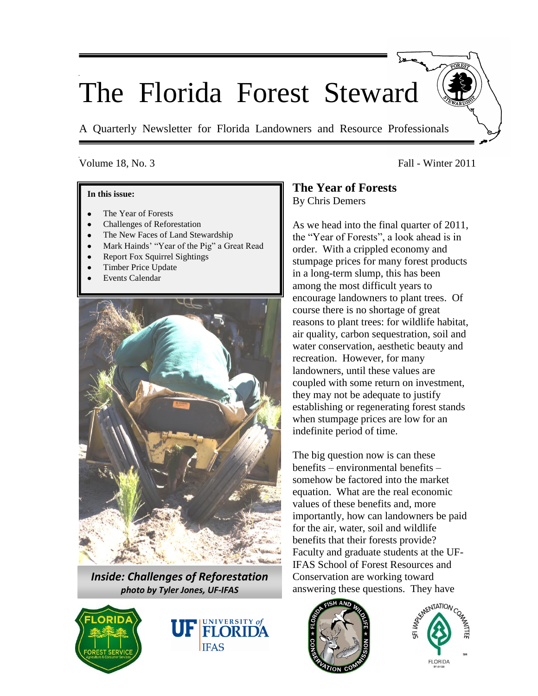# The Florida Forest Steward

A Quarterly Newsletter for Florida Landowners and Resource Professionals

#### **In this issue:**

- The Year of Forests
- Challenges of Reforestation
- The New Faces of Land Stewardship
- Mark Hainds' "Year of the Pig" a Great Read
- Report Fox Squirrel Sightings
- Timber Price Update
- Event*s* Calendar



*Inside: Challenges of Reforestation photo by Tyler Jones, UF-IFAS*





# Volume 18, No. 3 Fall - Winter 2011

# **The Year of Forests** By Chris Demers

As we head into the final quarter of 2011, the "Year of Forests", a look ahead is in order. With a crippled economy and stumpage prices for many forest products in a long-term slump, this has been among the most difficult years to encourage landowners to plant trees. Of course there is no shortage of great reasons to plant trees: for wildlife habitat, air quality, carbon sequestration, soil and water conservation, aesthetic beauty and recreation. However, for many landowners, until these values are coupled with some return on investment, they may not be adequate to justify establishing or regenerating forest stands when stumpage prices are low for an indefinite period of time.

The big question now is can these benefits – environmental benefits – somehow be factored into the market equation. What are the real economic values of these benefits and, more importantly, how can landowners be paid for the air, water, soil and wildlife benefits that their forests provide? Faculty and graduate students at the UF-IFAS School of Forest Resources and Conservation are working toward answering these questions. They have



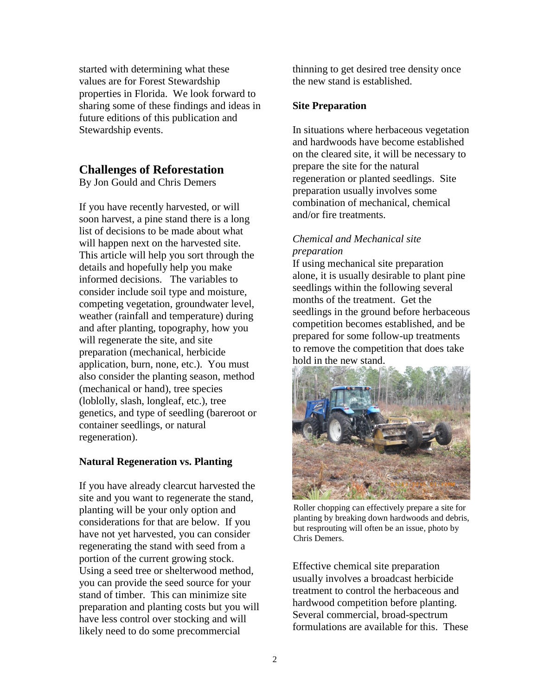started with determining what these values are for Forest Stewardship properties in Florida. We look forward to sharing some of these findings and ideas in future editions of this publication and Stewardship events.

# **Challenges of Reforestation**

By Jon Gould and Chris Demers

If you have recently harvested, or will soon harvest, a pine stand there is a long list of decisions to be made about what will happen next on the harvested site. This article will help you sort through the details and hopefully help you make informed decisions. The variables to consider include soil type and moisture, competing vegetation, groundwater level, weather (rainfall and temperature) during and after planting, topography, how you will regenerate the site, and site preparation (mechanical, herbicide application, burn, none, etc.). You must also consider the planting season, method (mechanical or hand), tree species (loblolly, slash, longleaf, etc.), tree genetics, and type of seedling (bareroot or container seedlings, or natural regeneration).

# **Natural Regeneration vs. Planting**

If you have already clearcut harvested the site and you want to regenerate the stand, planting will be your only option and considerations for that are below. If you have not yet harvested, you can consider regenerating the stand with seed from a portion of the current growing stock. Using a seed tree or shelterwood method, you can provide the seed source for your stand of timber. This can minimize site preparation and planting costs but you will have less control over stocking and will likely need to do some precommercial

thinning to get desired tree density once the new stand is established.

## **Site Preparation**

In situations where herbaceous vegetation and hardwoods have become established on the cleared site, it will be necessary to prepare the site for the natural regeneration or planted seedlings. Site preparation usually involves some combination of mechanical, chemical and/or fire treatments.

# *Chemical and Mechanical site preparation*

If using mechanical site preparation alone, it is usually desirable to plant pine seedlings within the following several months of the treatment. Get the seedlings in the ground before herbaceous competition becomes established, and be prepared for some follow-up treatments to remove the competition that does take hold in the new stand.



Roller chopping can effectively prepare a site for planting by breaking down hardwoods and debris, but resprouting will often be an issue, photo by Chris Demers.

Effective chemical site preparation usually involves a broadcast herbicide treatment to control the herbaceous and hardwood competition before planting. Several commercial, broad-spectrum formulations are available for this. These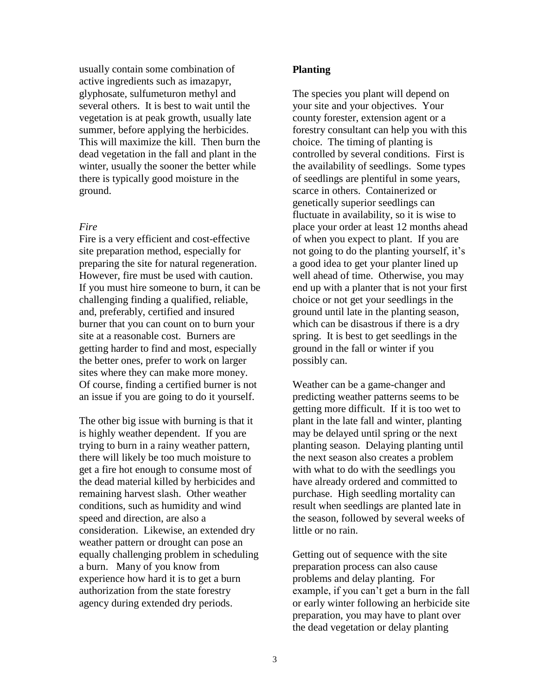usually contain some combination of active ingredients such as imazapyr, glyphosate, sulfumeturon methyl and several others. It is best to wait until the vegetation is at peak growth, usually late summer, before applying the herbicides. This will maximize the kill. Then burn the dead vegetation in the fall and plant in the winter, usually the sooner the better while there is typically good moisture in the ground.

#### *Fire*

Fire is a very efficient and cost-effective site preparation method, especially for preparing the site for natural regeneration. However, fire must be used with caution. If you must hire someone to burn, it can be challenging finding a qualified, reliable, and, preferably, certified and insured burner that you can count on to burn your site at a reasonable cost. Burners are getting harder to find and most, especially the better ones, prefer to work on larger sites where they can make more money. Of course, finding a certified burner is not an issue if you are going to do it yourself.

The other big issue with burning is that it is highly weather dependent. If you are trying to burn in a rainy weather pattern, there will likely be too much moisture to get a fire hot enough to consume most of the dead material killed by herbicides and remaining harvest slash. Other weather conditions, such as humidity and wind speed and direction, are also a consideration. Likewise, an extended dry weather pattern or drought can pose an equally challenging problem in scheduling a burn. Many of you know from experience how hard it is to get a burn authorization from the state forestry agency during extended dry periods.

#### **Planting**

The species you plant will depend on your site and your objectives. Your county forester, extension agent or a forestry consultant can help you with this choice. The timing of planting is controlled by several conditions. First is the availability of seedlings. Some types of seedlings are plentiful in some years, scarce in others. Containerized or genetically superior seedlings can fluctuate in availability, so it is wise to place your order at least 12 months ahead of when you expect to plant. If you are not going to do the planting yourself, it's a good idea to get your planter lined up well ahead of time. Otherwise, you may end up with a planter that is not your first choice or not get your seedlings in the ground until late in the planting season, which can be disastrous if there is a dry spring. It is best to get seedlings in the ground in the fall or winter if you possibly can.

Weather can be a game-changer and predicting weather patterns seems to be getting more difficult. If it is too wet to plant in the late fall and winter, planting may be delayed until spring or the next planting season. Delaying planting until the next season also creates a problem with what to do with the seedlings you have already ordered and committed to purchase. High seedling mortality can result when seedlings are planted late in the season, followed by several weeks of little or no rain.

Getting out of sequence with the site preparation process can also cause problems and delay planting. For example, if you can't get a burn in the fall or early winter following an herbicide site preparation, you may have to plant over the dead vegetation or delay planting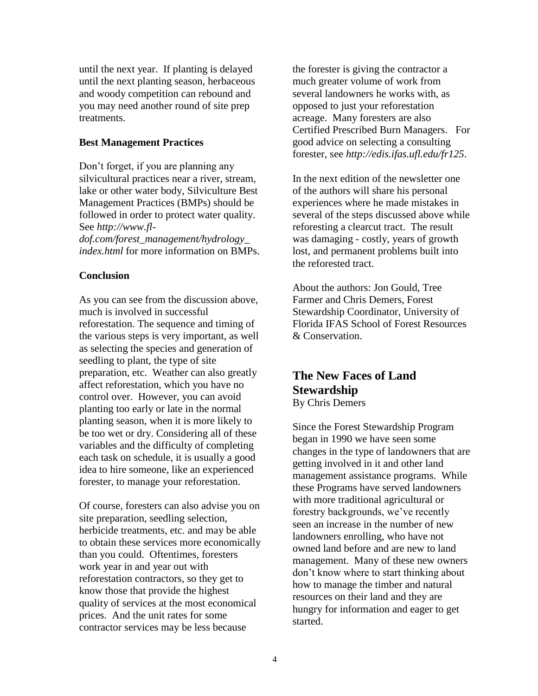until the next year. If planting is delayed until the next planting season, herbaceous and woody competition can rebound and you may need another round of site prep treatments.

#### **Best Management Practices**

Don't forget, if you are planning any silvicultural practices near a river, stream, lake or other water body, Silviculture Best Management Practices (BMPs) should be followed in order to protect water quality. See *http://www.fldof.com/forest\_management/hydrology\_*

*index.html* for more information on BMPs.

### **Conclusion**

As you can see from the discussion above, much is involved in successful reforestation. The sequence and timing of the various steps is very important, as well as selecting the species and generation of seedling to plant, the type of site preparation, etc. Weather can also greatly affect reforestation, which you have no control over. However, you can avoid planting too early or late in the normal planting season, when it is more likely to be too wet or dry. Considering all of these variables and the difficulty of completing each task on schedule, it is usually a good idea to hire someone, like an experienced forester, to manage your reforestation.

Of course, foresters can also advise you on site preparation, seedling selection, herbicide treatments, etc. and may be able to obtain these services more economically than you could. Oftentimes, foresters work year in and year out with reforestation contractors, so they get to know those that provide the highest quality of services at the most economical prices. And the unit rates for some contractor services may be less because

the forester is giving the contractor a much greater volume of work from several landowners he works with, as opposed to just your reforestation acreage. Many foresters are also Certified Prescribed Burn Managers. For good advice on selecting a consulting forester, see *http://edis.ifas.ufl.edu/fr125*.

In the next edition of the newsletter one of the authors will share his personal experiences where he made mistakes in several of the steps discussed above while reforesting a clearcut tract. The result was damaging - costly, years of growth lost, and permanent problems built into the reforested tract.

About the authors: Jon Gould, Tree Farmer and Chris Demers, Forest Stewardship Coordinator, University of Florida IFAS School of Forest Resources & Conservation.

# **The New Faces of Land Stewardship** By Chris Demers

Since the Forest Stewardship Program began in 1990 we have seen some changes in the type of landowners that are getting involved in it and other land management assistance programs. While these Programs have served landowners with more traditional agricultural or forestry backgrounds, we've recently seen an increase in the number of new landowners enrolling, who have not owned land before and are new to land management. Many of these new owners don't know where to start thinking about how to manage the timber and natural resources on their land and they are hungry for information and eager to get started.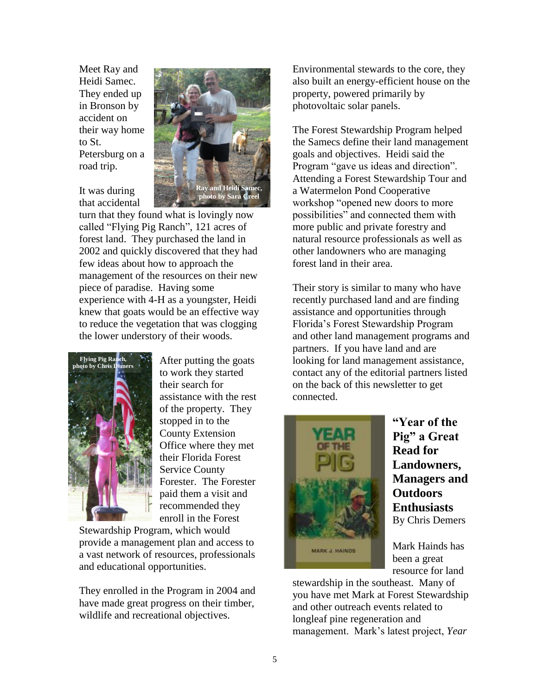Meet Ray and Heidi Samec. They ended up in Bronson by accident on their way home to St. Petersburg on a road trip.



It was during that accidental

turn that they found what is lovingly now called "Flying Pig Ranch", 121 acres of forest land. They purchased the land in 2002 and quickly discovered that they had few ideas about how to approach the management of the resources on their new piece of paradise. Having some experience with 4-H as a youngster, Heidi knew that goats would be an effective way to reduce the vegetation that was clogging the lower understory of their woods.



After putting the goats to work they started their search for assistance with the rest of the property. They stopped in to the County Extension Office where they met their Florida Forest Service County Forester. The Forester paid them a visit and recommended they enroll in the Forest

Stewardship Program, which would provide a management plan and access to a vast network of resources, professionals and educational opportunities.

They enrolled in the Program in 2004 and have made great progress on their timber, wildlife and recreational objectives.

Environmental stewards to the core, they also built an energy-efficient house on the property, powered primarily by photovoltaic solar panels.

The Forest Stewardship Program helped the Samecs define their land management goals and objectives. Heidi said the Program "gave us ideas and direction". Attending a Forest Stewardship Tour and a Watermelon Pond Cooperative workshop "opened new doors to more possibilities" and connected them with more public and private forestry and natural resource professionals as well as other landowners who are managing forest land in their area.

Their story is similar to many who have recently purchased land and are finding assistance and opportunities through Florida's Forest Stewardship Program and other land management programs and partners. If you have land and are looking for land management assistance, contact any of the editorial partners listed on the back of this newsletter to get connected.



**"Year of the Pig" a Great Read for Landowners, Managers and Outdoors Enthusiasts** By Chris Demers

Mark Hainds has been a great resource for land

stewardship in the southeast. Many of you have met Mark at Forest Stewardship and other outreach events related to longleaf pine regeneration and management. Mark's latest project, *Year*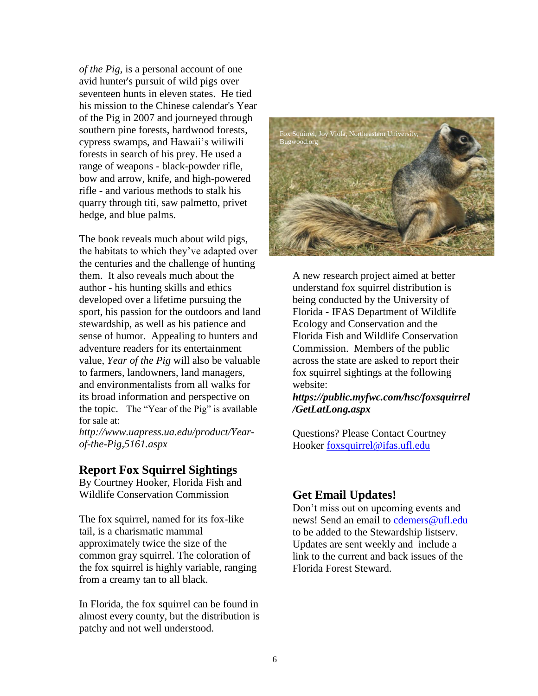*of the Pig,* is a personal account of one avid hunter's pursuit of wild pigs over seventeen hunts in eleven states. He tied his mission to the Chinese calendar's Year of the Pig in 2007 and journeyed through southern pine forests, hardwood forests, cypress swamps, and Hawaii's wiliwili forests in search of his prey. He used a range of weapons - black-powder rifle, bow and arrow, knife, and high-powered rifle - and various methods to stalk his quarry through titi, saw palmetto, privet hedge, and blue palms.

The book reveals much about wild pigs, the habitats to which they've adapted over the centuries and the challenge of hunting them. It also reveals much about the author - his hunting skills and ethics developed over a lifetime pursuing the sport, his passion for the outdoors and land stewardship, as well as his patience and sense of humor. Appealing to hunters and adventure readers for its entertainment value, *Year of the Pig* will also be valuable to farmers, landowners, land managers, and environmentalists from all walks for its broad information and perspective on the topic. The "Year of the Pig" is available for sale at:

*http://www.uapress.ua.edu/product/Yearof-the-Pig,5161.aspx*

# **Report Fox Squirrel Sightings**

By Courtney Hooker, Florida Fish and Wildlife Conservation Commission

The fox squirrel, named for its fox-like tail, is a charismatic mammal approximately twice the size of the common gray squirrel. The coloration of the fox squirrel is highly variable, ranging from a creamy tan to all black.

In Florida, the fox squirrel can be found in almost every county, but the distribution is patchy and not well understood.



A new research project aimed at better understand fox squirrel distribution is being conducted by the University of Florida - IFAS Department of Wildlife Ecology and Conservation and the Florida Fish and Wildlife Conservation Commission. Members of the public across the state are asked to report their fox squirrel sightings at the following website:

*[https://public.myfwc.com/hsc/foxsquirrel](https://public.myfwc.com/hsc/foxsquirrel/GetLatLong.aspx) [/GetLatLong.aspx](https://public.myfwc.com/hsc/foxsquirrel/GetLatLong.aspx)*

Questions? Please Contact Courtney Hooker [foxsquirrel@ifas.ufl.edu](mailto:foxsquirrel@ifas.ufl.edu)

# **Get Email Updates!**

Don't miss out on upcoming events and news! Send an email to [cdemers@ufl.edu](mailto:cdemers@ufl.edu) to be added to the Stewardship listserv. Updates are sent weekly and include a link to the current and back issues of the Florida Forest Steward.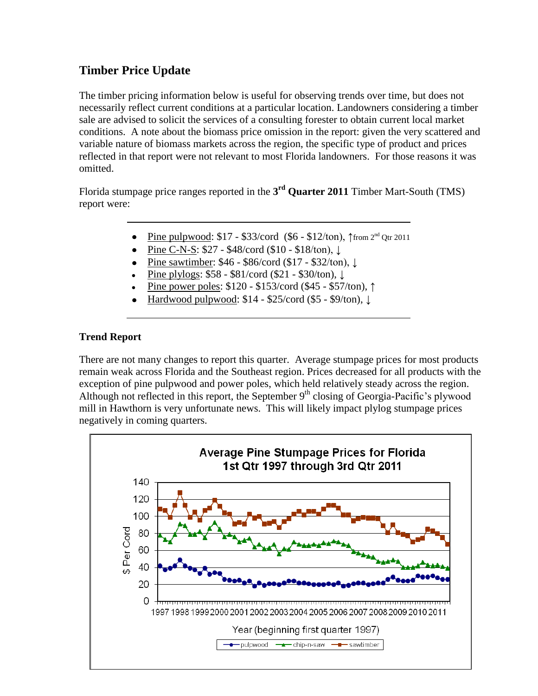# **Timber Price Update**

The timber pricing information below is useful for observing trends over time, but does not necessarily reflect current conditions at a particular location. Landowners considering a timber sale are advised to solicit the services of a consulting forester to obtain current local market conditions. A note about the biomass price omission in the report: given the very scattered and variable nature of biomass markets across the region, the specific type of product and prices reflected in that report were not relevant to most Florida landowners. For those reasons it was omitted.

Florida stumpage price ranges reported in the **3 rd Quarter 2011** Timber Mart-South (TMS) report were:

- Pine pulpwood: \$17 \$33/cord (\$6 \$12/ton), ↑from 2<sup>nd</sup> Qtr 2011
- Pine C-N-S: \$27 \$48/cord (\$10 \$18/ton), ↓
- Pine sawtimber: \$46 \$86/cord (\$17 \$32/ton), ↓
- Pine plylogs: \$58 \$81/cord (\$21 \$30/ton), ↓
- Pine power poles: \$120 \$153/cord (\$45 \$57/ton), ↑
- Hardwood pulpwood: \$14 \$25/cord (\$5 \$9/ton), ↓

# **Trend Report**

There are not many changes to report this quarter. Average stumpage prices for most products remain weak across Florida and the Southeast region. Prices decreased for all products with the exception of pine pulpwood and power poles, which held relatively steady across the region. Although not reflected in this report, the September  $9<sup>th</sup>$  closing of Georgia-Pacific's plywood mill in Hawthorn is very unfortunate news. This will likely impact plylog stumpage prices negatively in coming quarters.